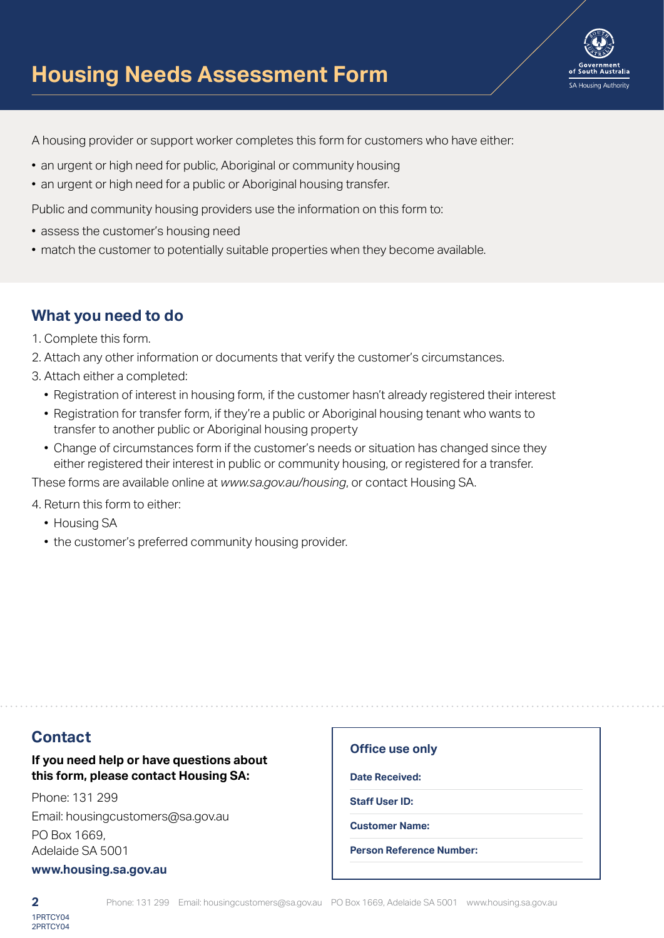

A housing provider or support worker completes this form for customers who have either:

- an urgent or high need for public, Aboriginal or community housing
- an urgent or high need for a public or Aboriginal housing transfer.

Public and community housing providers use the information on this form to:

- assess the customer's housing need
- match the customer to potentially suitable properties when they become available.

## **What you need to do**

- 1. Complete this form.
- 2. Attach any other information or documents that verify the customer's circumstances.
- 3. Attach either a completed:
	- Registration of interest in housing form, if the customer hasn't already registered their interest
	- Registration for transfer form, if they're a public or Aboriginal housing tenant who wants to transfer to another public or Aboriginal housing property
	- Change of circumstances form if the customer's needs or situation has changed since they either registered their interest in public or community housing, or registered for a transfer.

These forms are available online at *www.sa.gov.au/housing*, or contact Housing SA.

4. Return this form to either:

- Housing SA
- the customer's preferred community housing provider.

### **Contact**

### **If you need help or have questions about this form, please contact Housing SA:**

Phone: 131 299 Email: housingcustomers@sa.gov.au PO Box 1669, Adelaide SA 5001

#### **www.housing.sa.gov.au**

#### **Office use only**

**Date Received:**

**Staff User ID:**

**Customer Name:**

**Person Reference Number:**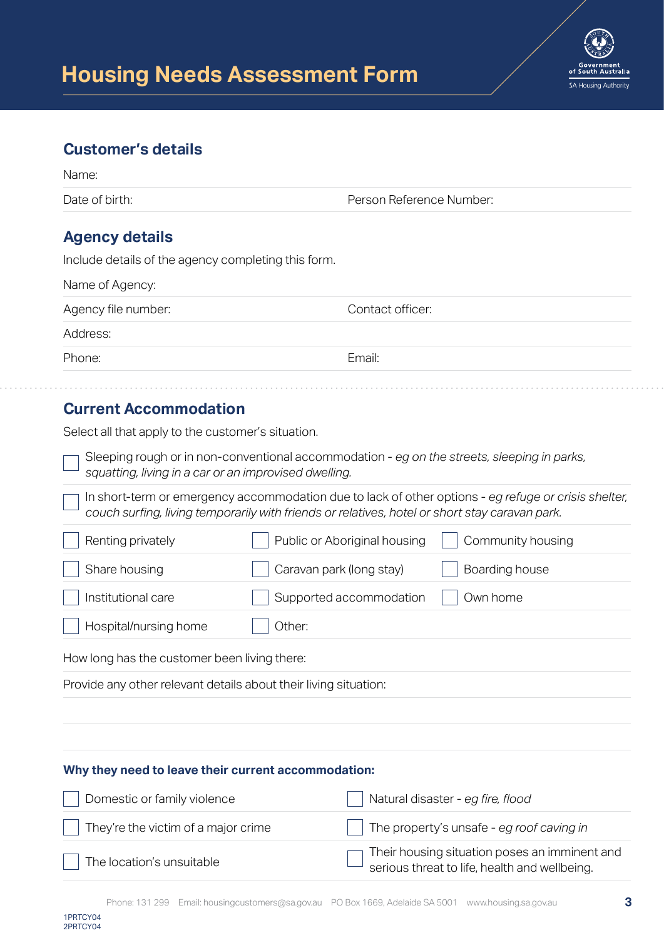

## **Customer's details**

| Name:                                               |                          |  |
|-----------------------------------------------------|--------------------------|--|
| Date of birth:                                      | Person Reference Number: |  |
| <b>Agency details</b>                               |                          |  |
| Include details of the agency completing this form. |                          |  |
| Name of Agency:                                     |                          |  |
| Agency file number:                                 | Contact officer:         |  |
| Address:                                            |                          |  |
| Phone:                                              | Email:                   |  |
|                                                     |                          |  |

# **Current Accommodation**

Select all that apply to the customer's situation.

Sleeping rough or in non-conventional accommodation - *eg on the streets, sleeping in parks, squatting, living in a car or an improvised dwelling.*

In short-term or emergency accommodation due to lack of other options - *eg refuge or crisis shelter, couch surfing, living temporarily with friends or relatives, hotel or short stay caravan park.*

| Renting privately     | Public or Aboriginal housing | Community housing |
|-----------------------|------------------------------|-------------------|
| Share housing         | Caravan park (long stay)     | Boarding house    |
| Institutional care    | Supported accommodation      | Own home          |
| Hospital/nursing home | Other:                       |                   |
|                       |                              |                   |

How long has the customer been living there:

Provide any other relevant details about their living situation:

### **Why they need to leave their current accommodation:**

| Domestic or family violence         | $\vert$ Natural disaster - eg fire, flood                                                      |
|-------------------------------------|------------------------------------------------------------------------------------------------|
| They're the victim of a major crime | $\parallel$ The property's unsafe - eg roof caving in                                          |
| The location's unsuitable           | Their housing situation poses an imminent and<br>serious threat to life, health and wellbeing. |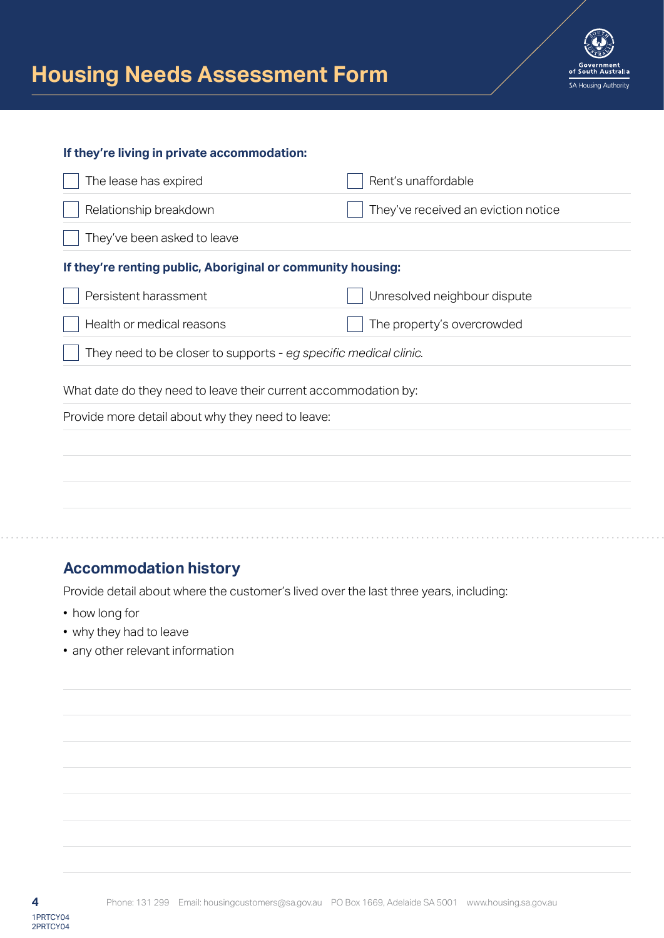

#### **If they're living in private accommodation:**

| The lease has expired                                            | Rent's unaffordable                 |
|------------------------------------------------------------------|-------------------------------------|
| Relationship breakdown                                           | They've received an eviction notice |
| They've been asked to leave                                      |                                     |
| If they're renting public, Aboriginal or community housing:      |                                     |
| Persistent harassment                                            | Unresolved neighbour dispute        |
| Health or medical reasons                                        | The property's overcrowded          |
| They need to be closer to supports - eg specific medical clinic. |                                     |
| What date do they need to leave their current accommodation by:  |                                     |
| Provide more detail about why they need to leave:                |                                     |
|                                                                  |                                     |
|                                                                  |                                     |
|                                                                  |                                     |
|                                                                  |                                     |
|                                                                  |                                     |

## **Accommodation history**

Provide detail about where the customer's lived over the last three years, including:

- how long for
- why they had to leave
- any other relevant information

2PRTCY04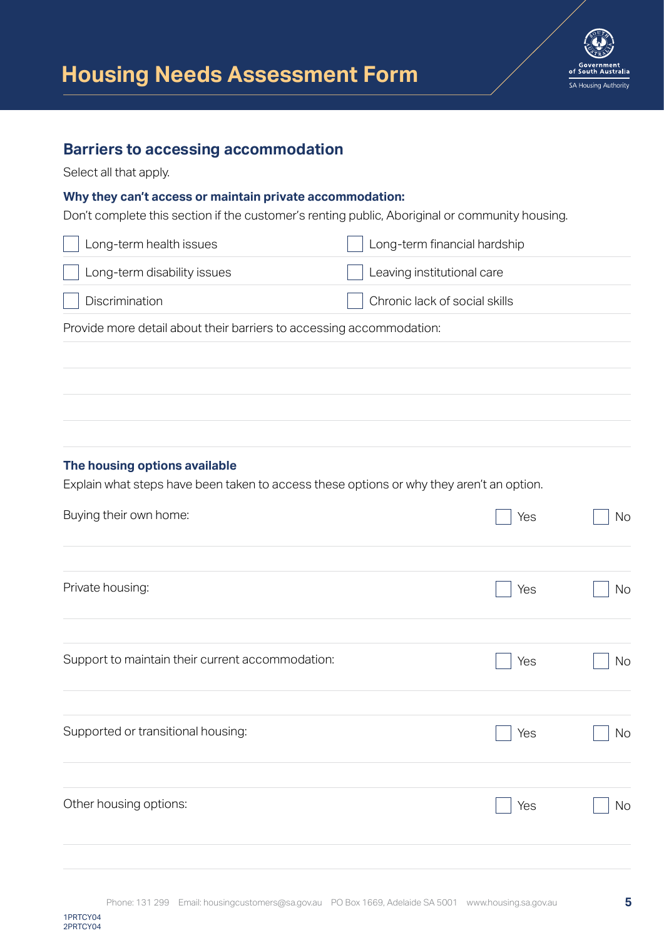

## **Barriers to accessing accommodation**

Select all that apply.

#### **Why they can't access or maintain private accommodation:**

Don't complete this section if the customer's renting public, Aboriginal or community housing.

| $\vert$ Long-term health issues | Long-term financial hardship  |
|---------------------------------|-------------------------------|
| Long-term disability issues     | Leaving institutional care    |
| Discrimination                  | Chronic lack of social skills |

Provide more detail about their barriers to accessing accommodation:

#### **The housing options available**

Explain what steps have been taken to access these options or why they aren't an option.

| Buying their own home:                           | Yes | <b>No</b> |
|--------------------------------------------------|-----|-----------|
| Private housing:                                 | Yes | No        |
| Support to maintain their current accommodation: | Yes | No        |
| Supported or transitional housing:               | Yes | <b>No</b> |
| Other housing options:                           | Yes | No        |
|                                                  |     |           |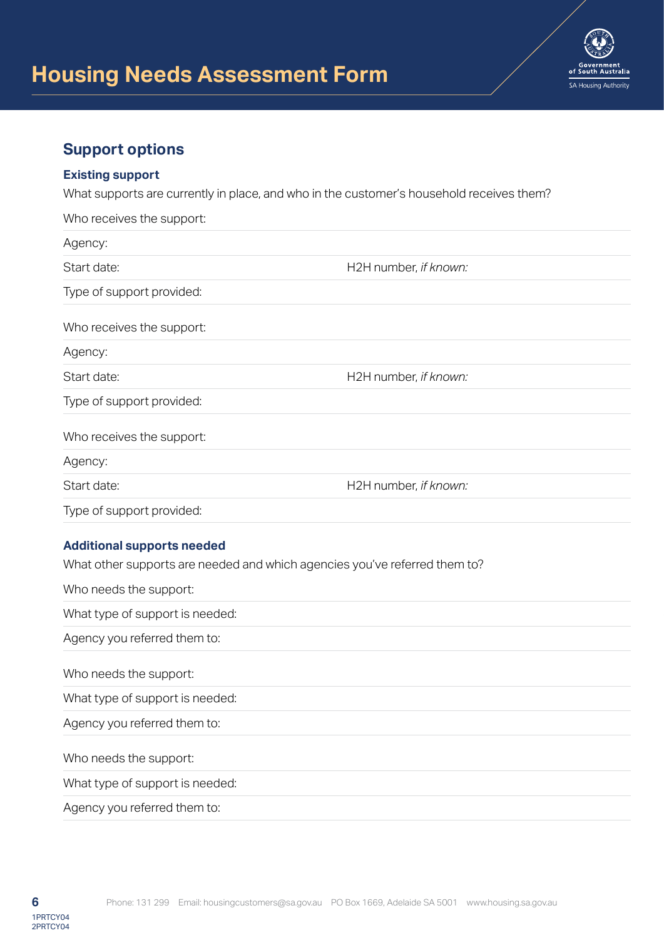

# **Support options**

#### **Existing support**

What supports are currently in place, and who in the customer's household receives them?

| Who receives the support:                                                                                                                 |                       |
|-------------------------------------------------------------------------------------------------------------------------------------------|-----------------------|
| Agency:                                                                                                                                   |                       |
| Start date:                                                                                                                               | H2H number, if known: |
| Type of support provided:                                                                                                                 |                       |
| Who receives the support:                                                                                                                 |                       |
| Agency:                                                                                                                                   |                       |
| Start date:                                                                                                                               | H2H number, if known: |
| Type of support provided:                                                                                                                 |                       |
| Who receives the support:                                                                                                                 |                       |
| Agency:                                                                                                                                   |                       |
| Start date:                                                                                                                               | H2H number, if known: |
| Type of support provided:                                                                                                                 |                       |
| <b>Additional supports needed</b><br>What other supports are needed and which agencies you've referred them to?<br>Who needs the support: |                       |
| What type of support is needed:                                                                                                           |                       |
| Agency you referred them to:                                                                                                              |                       |
| Who needs the support:                                                                                                                    |                       |
| What type of support is needed:                                                                                                           |                       |
| Agency you referred them to:                                                                                                              |                       |
| Who needs the support:                                                                                                                    |                       |

What type of support is needed:

Agency you referred them to:

2PRTCY04